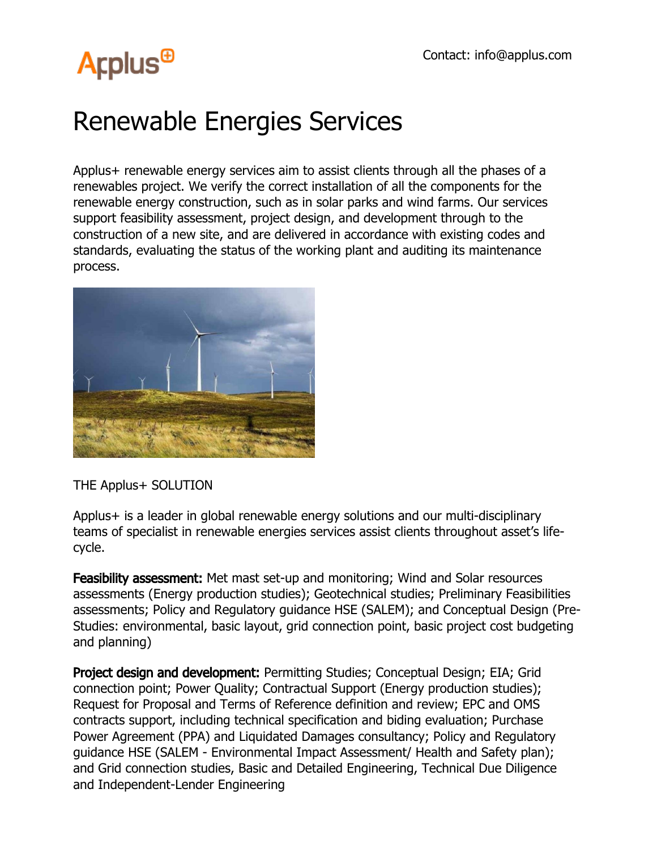## **Arplus<sup>®</sup>**

## Renewable Energies Services

Applus+ renewable energy services aim to assist clients through all the phases of a renewables project. We verify the correct installation of all the components for the renewable energy construction, such as in solar parks and wind farms. Our services support feasibility assessment, project design, and development through to the construction of a new site, and are delivered in accordance with existing codes and standards, evaluating the status of the working plant and auditing its maintenance process.



THE Applus+ SOLUTION

Applus+ is a leader in global renewable energy solutions and our multi-disciplinary teams of specialist in renewable energies services assist clients throughout asset's lifecycle.

**Feasibility assessment:** Met mast set-up and monitoring; Wind and Solar resources assessments (Energy production studies); Geotechnical studies; Preliminary Feasibilities assessments; Policy and Regulatory guidance HSE (SALEM); and Conceptual Design (Pre-Studies: environmental, basic layout, grid connection point, basic project cost budgeting and planning)

Project design and development: Permitting Studies; Conceptual Design; EIA; Grid connection point; Power Quality; Contractual Support (Energy production studies); Request for Proposal and Terms of Reference definition and review; EPC and OMS contracts support, including technical specification and biding evaluation; Purchase Power Agreement (PPA) and Liquidated Damages consultancy; Policy and Regulatory guidance HSE (SALEM - Environmental Impact Assessment/ Health and Safety plan); and Grid connection studies, Basic and Detailed Engineering, Technical Due Diligence and Independent-Lender Engineering